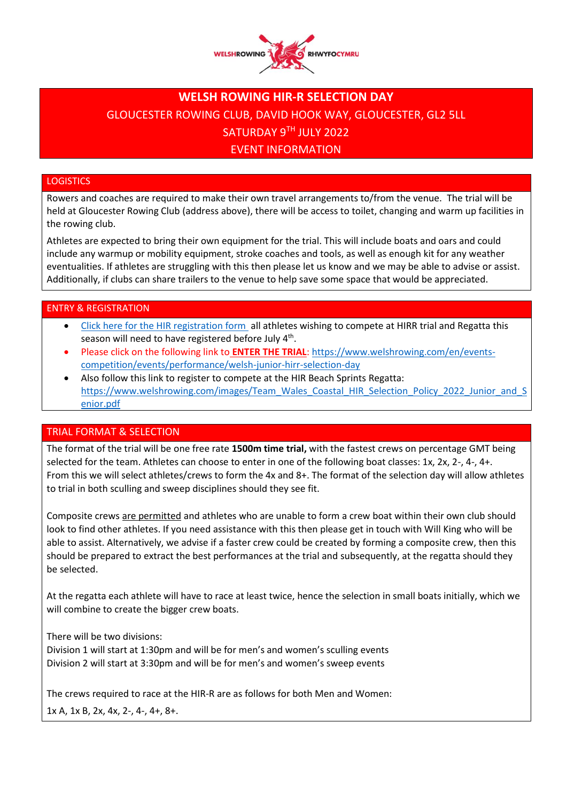

# **WELSH ROWING HIR-R SELECTION DAY** GLOUCESTER ROWING CLUB, DAVID HOOK WAY, GLOUCESTER, GL2 5LL SATURDAY 9TH JULY 2022 EVENT INFORMATION

# **LOGISTICS**

Rowers and coaches are required to make their own travel arrangements to/from the venue. The trial will be held at Gloucester Rowing Club (address above), there will be access to toilet, changing and warm up facilities in the rowing club.

Athletes are expected to bring their own equipment for the trial. This will include boats and oars and could include any warmup or mobility equipment, stroke coaches and tools, as well as enough kit for any weather eventualities. If athletes are struggling with this then please let us know and we may be able to advise or assist. Additionally, if clubs can share trailers to the venue to help save some space that would be appreciated.

## ENTRY & REGISTRATION

- [Click here for the HIR registration form](https://form.jotform.com/212423779230352) all athletes wishing to compete at HIRR trial and Regatta this season will need to have registered before July 4<sup>th</sup>.
- Please click on the following link to **ENTER THE TRIAL**: [https://www.welshrowing.com/en/events](https://www.welshrowing.com/en/events-competition/events/performance/welsh-junior-hirr-selection-day)[competition/events/performance/welsh-junior-hirr-selection-day](https://www.welshrowing.com/en/events-competition/events/performance/welsh-junior-hirr-selection-day)
- Also follow this link to register to compete at the HIR Beach Sprints Regatta: [https://www.welshrowing.com/images/Team\\_Wales\\_Coastal\\_HIR\\_Selection\\_Policy\\_2022\\_Junior\\_and\\_S](https://www.welshrowing.com/images/Team_Wales_Coastal_HIR_Selection_Policy_2022_Junior_and_Senior.pdf) [enior.pdf](https://www.welshrowing.com/images/Team_Wales_Coastal_HIR_Selection_Policy_2022_Junior_and_Senior.pdf)

## TRIAL FORMAT & SELECTION

The format of the trial will be one free rate **1500m time trial,** with the fastest crews on percentage GMT being selected for the team. Athletes can choose to enter in one of the following boat classes: 1x, 2x, 2-, 4-, 4+. From this we will select athletes/crews to form the 4x and 8+. The format of the selection day will allow athletes to trial in both sculling and sweep disciplines should they see fit.

Composite crews are permitted and athletes who are unable to form a crew boat within their own club should look to find other athletes. If you need assistance with this then please get in touch with Will King who will be able to assist. Alternatively, we advise if a faster crew could be created by forming a composite crew, then this should be prepared to extract the best performances at the trial and subsequently, at the regatta should they be selected.

At the regatta each athlete will have to race at least twice, hence the selection in small boats initially, which we will combine to create the bigger crew boats.

There will be two divisions:

Division 1 will start at 1:30pm and will be for men's and women's sculling events Division 2 will start at 3:30pm and will be for men's and women's sweep events

The crews required to race at the HIR-R are as follows for both Men and Women:

1x A, 1x B, 2x, 4x, 2-, 4-, 4+, 8+.